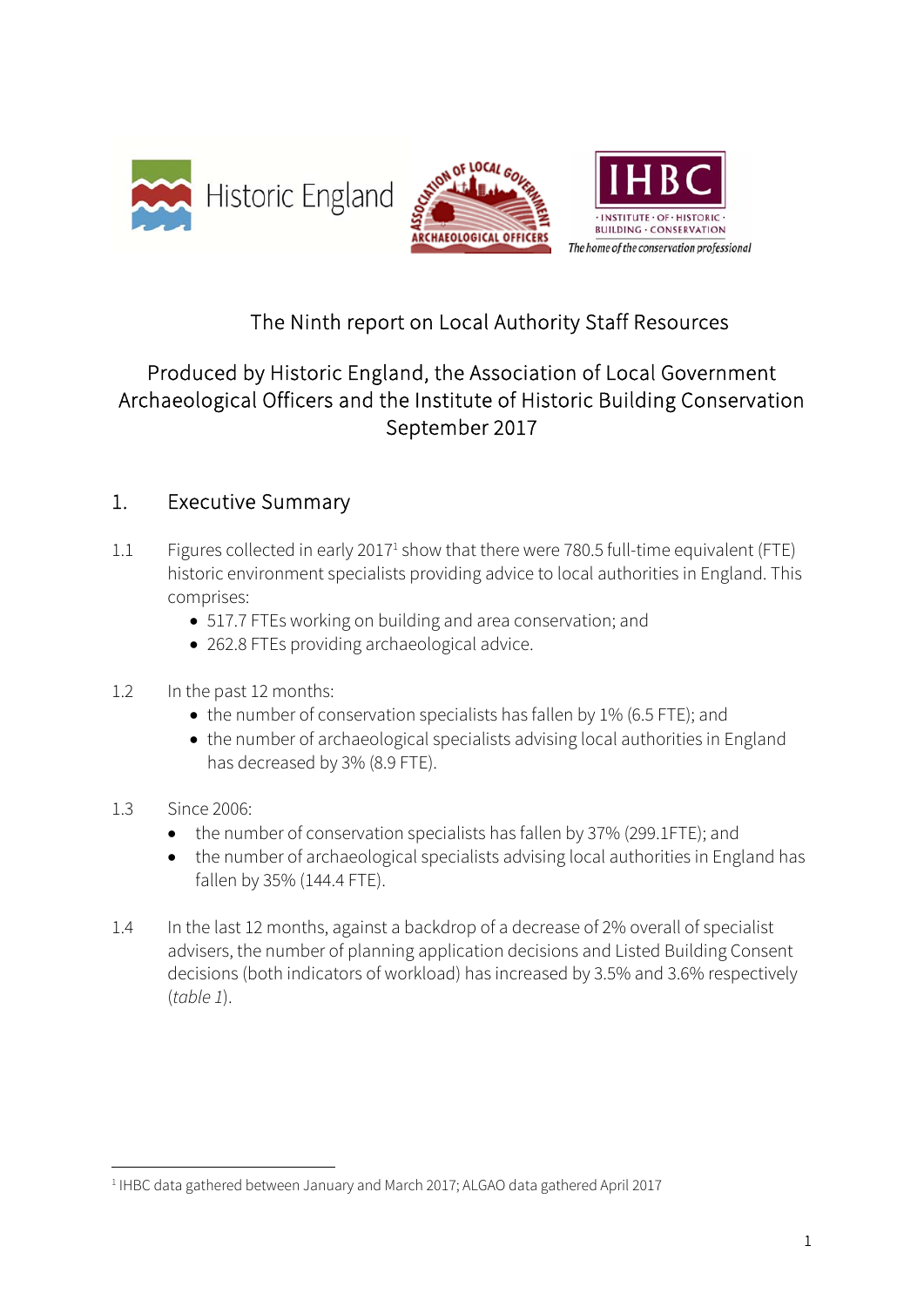



## The Ninth report on Local Authority Staff Resources

## Produced by Historic England, the Association of Local Government Archaeological Officers and the Institute of Historic Building Conservation September 2017

#### 1. Executive Summary

- 1.1 Figures collected in early 2017<sup>1</sup> show that there were 780.5 full-time equivalent (FTE) historic environment specialists providing advice to local authorities in England. This comprises:
	- 517.7 FTEs working on building and area conservation; and
	- 262.8 FTEs providing archaeological advice.
- 1.2 In the past 12 months:
	- the number of conservation specialists has fallen by 1% (6.5 FTE); and
	- the number of archaeological specialists advising local authorities in England has decreased by 3% (8.9 FTE).
- 1.3 Since 2006:

1

- the number of conservation specialists has fallen by 37% (299.1FTE); and
- the number of archaeological specialists advising local authorities in England has fallen by 35% (144.4 FTE).
- 1.4 In the last 12 months, against a backdrop of a decrease of 2% overall of specialist advisers, the number of planning application decisions and Listed Building Consent decisions (both indicators of workload) has increased by 3.5% and 3.6% respectively (table 1).

<sup>&</sup>lt;sup>1</sup> IHBC data gathered between January and March 2017; ALGAO data gathered April 2017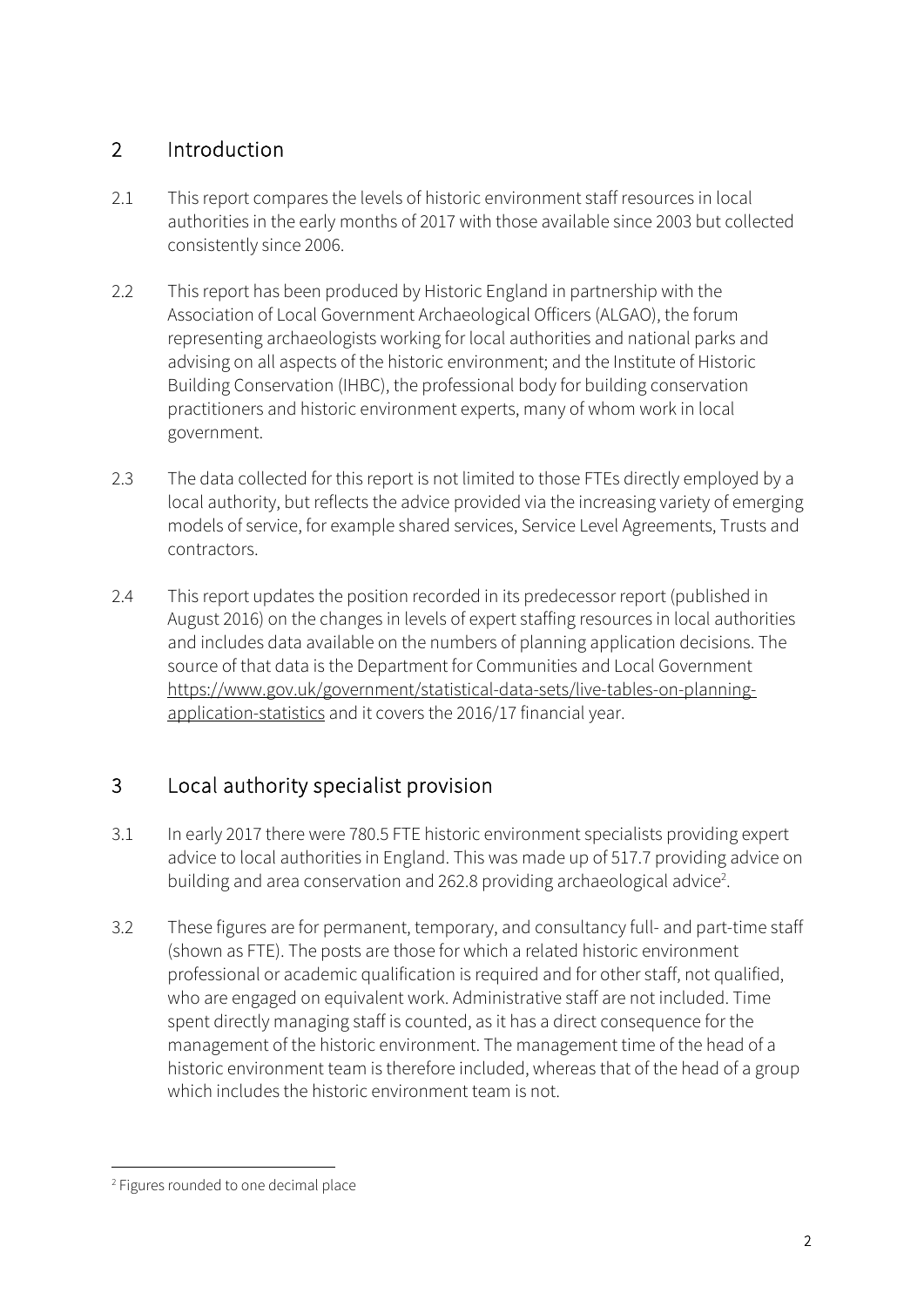## 2 Introduction

- 2.1 This report compares the levels of historic environment staff resources in local authorities in the early months of 2017 with those available since 2003 but collected consistently since 2006.
- 2.2 This report has been produced by Historic England in partnership with the Association of Local Government Archaeological Officers (ALGAO), the forum representing archaeologists working for local authorities and national parks and advising on all aspects of the historic environment; and the Institute of Historic Building Conservation (IHBC), the professional body for building conservation practitioners and historic environment experts, many of whom work in local government.
- 2.3 The data collected for this report is not limited to those FTEs directly employed by a local authority, but reflects the advice provided via the increasing variety of emerging models of service, for example shared services, Service Level Agreements, Trusts and contractors.
- 2.4 This report updates the position recorded in its predecessor report (published in August 2016) on the changes in levels of expert staffing resources in local authorities and includes data available on the numbers of planning application decisions. The source of that data is the Department for Communities and Local Government https://www.gov.uk/government/statistical-data-sets/live-tables-on-planningapplication-statistics and it covers the 2016/17 financial year.

# 3 Local authority specialist provision

- 3.1 In early 2017 there were 780.5 FTE historic environment specialists providing expert advice to local authorities in England. This was made up of 517.7 providing advice on building and area conservation and 262.8 providing archaeological advice<sup>2</sup>.
- 3.2 These figures are for permanent, temporary, and consultancy full- and part-time staff (shown as FTE). The posts are those for which a related historic environment professional or academic qualification is required and for other staff, not qualified, who are engaged on equivalent work. Administrative staff are not included. Time spent directly managing staff is counted, as it has a direct consequence for the management of the historic environment. The management time of the head of a historic environment team is therefore included, whereas that of the head of a group which includes the historic environment team is not.

1

<sup>2</sup> Figures rounded to one decimal place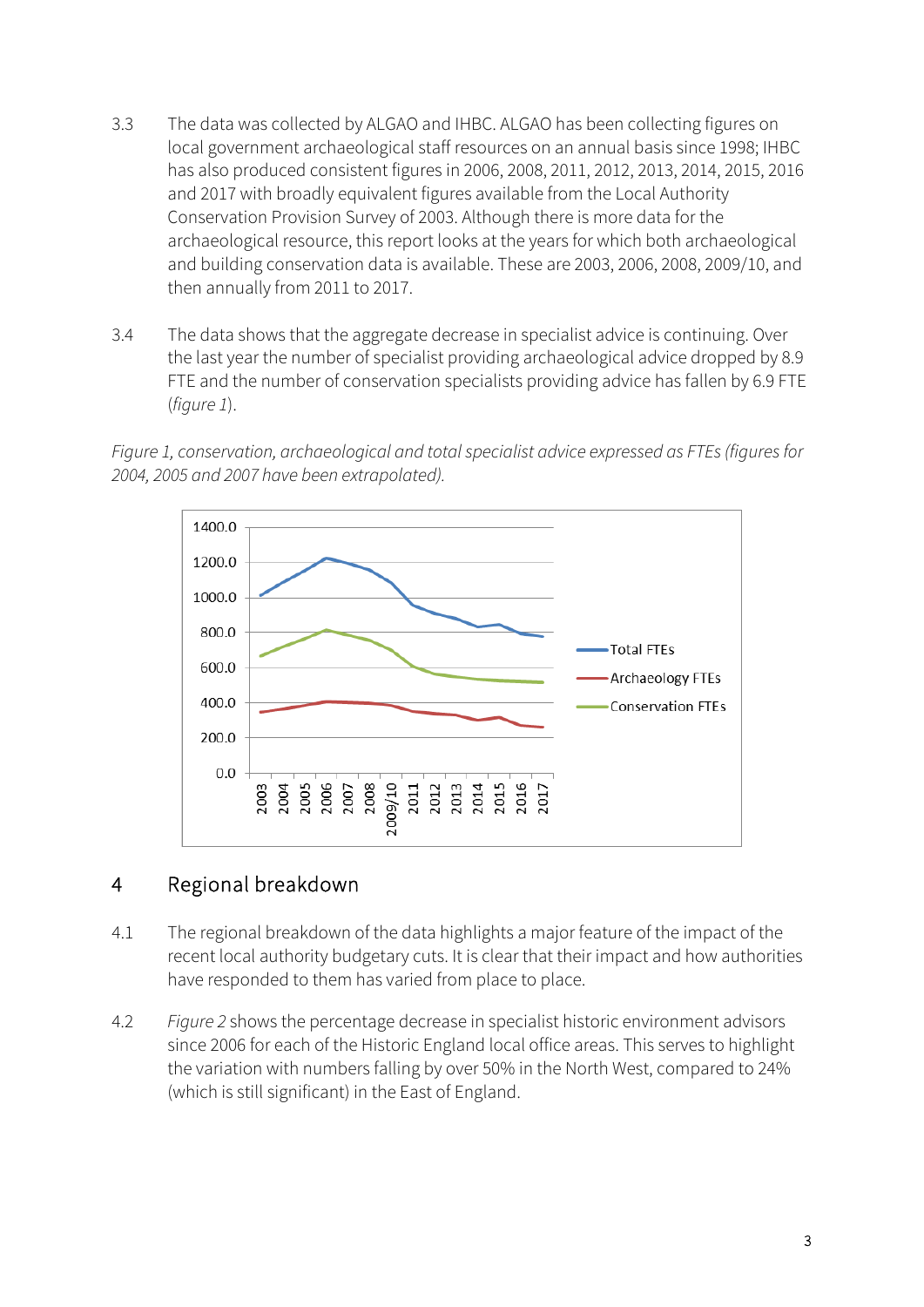- 3.3 The data was collected by ALGAO and IHBC. ALGAO has been collecting figures on local government archaeological staff resources on an annual basis since 1998; IHBC has also produced consistent figures in 2006, 2008, 2011, 2012, 2013, 2014, 2015, 2016 and 2017 with broadly equivalent figures available from the Local Authority Conservation Provision Survey of 2003. Although there is more data for the archaeological resource, this report looks at the years for which both archaeological and building conservation data is available. These are 2003, 2006, 2008, 2009/10, and then annually from 2011 to 2017.
- 3.4 The data shows that the aggregate decrease in specialist advice is continuing. Over the last year the number of specialist providing archaeological advice dropped by 8.9 FTE and the number of conservation specialists providing advice has fallen by 6.9 FTE (figure 1).

Figure 1, conservation, archaeological and total specialist advice expressed as FTEs (figures for 2004, 2005 and 2007 have been extrapolated).



### 4 Regional breakdown

- 4.1 The regional breakdown of the data highlights a major feature of the impact of the recent local authority budgetary cuts. It is clear that their impact and how authorities have responded to them has varied from place to place.
- 4.2 Figure 2 shows the percentage decrease in specialist historic environment advisors since 2006 for each of the Historic England local office areas. This serves to highlight the variation with numbers falling by over 50% in the North West, compared to 24% (which is still significant) in the East of England.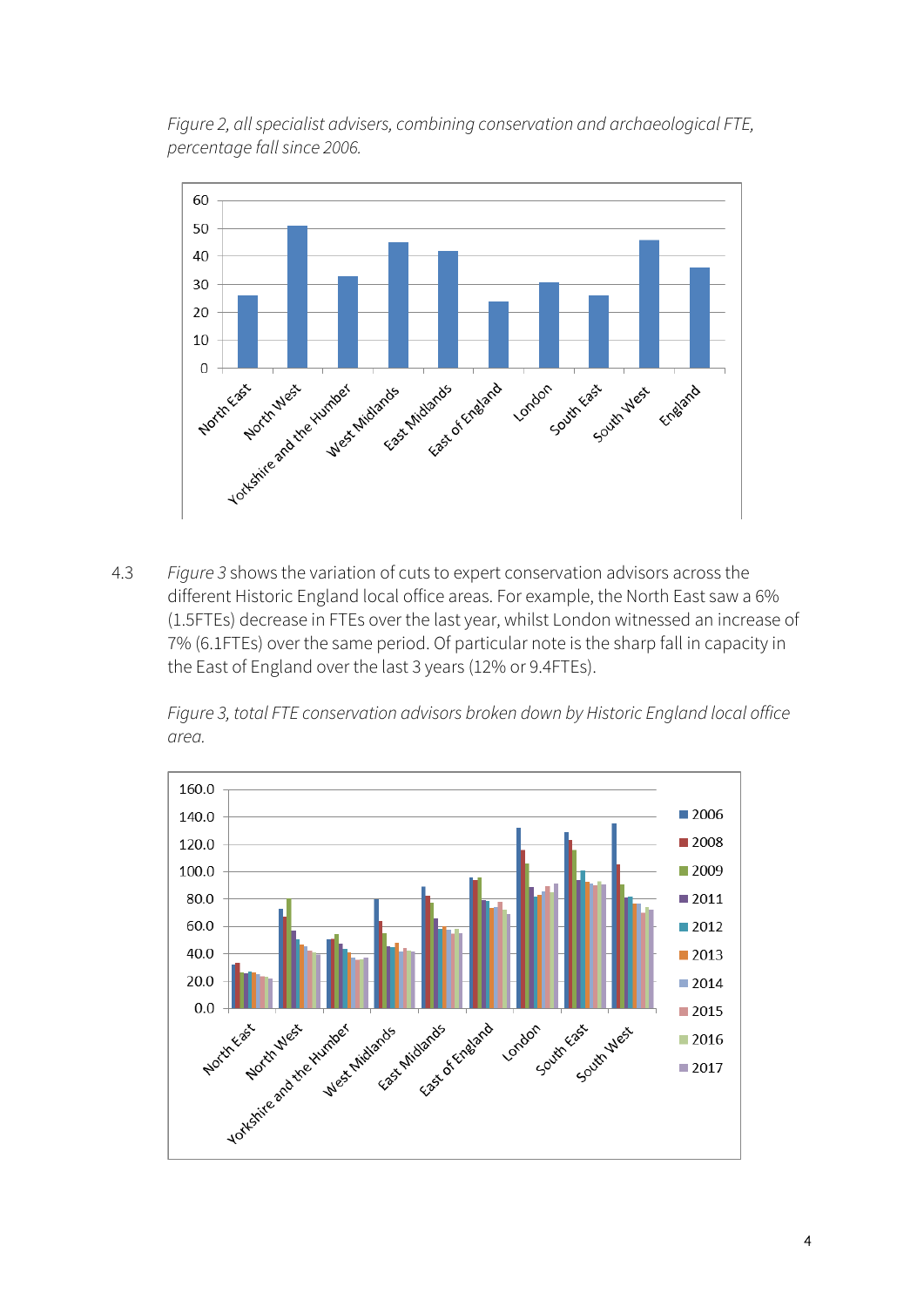Figure 2, all specialist advisers, combining conservation and archaeological FTE, percentage fall since 2006.



4.3 Figure 3 shows the variation of cuts to expert conservation advisors across the different Historic England local office areas. For example, the North East saw a 6% (1.5FTEs) decrease in FTEs over the last year, whilst London witnessed an increase of 7% (6.1FTEs) over the same period. Of particular note is the sharp fall in capacity in the East of England over the last 3 years (12% or 9.4FTEs).

Figure 3, total FTE conservation advisors broken down by Historic England local office area.

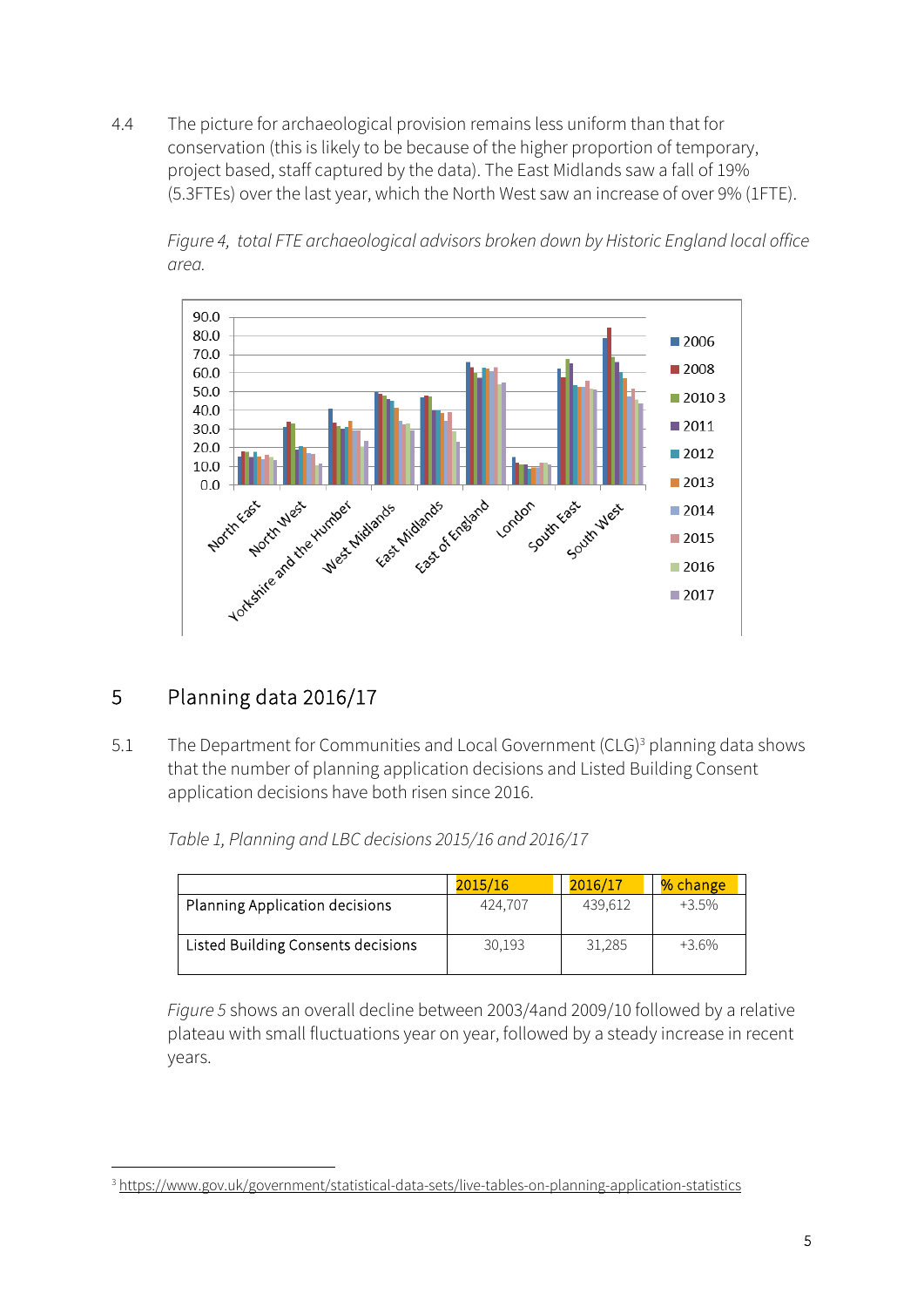4.4 The picture for archaeological provision remains less uniform than that for conservation (this is likely to be because of the higher proportion of temporary, project based, staff captured by the data). The East Midlands saw a fall of 19% (5.3FTEs) over the last year, which the North West saw an increase of over 9% (1FTE).

Figure 4, total FTE archaeological advisors broken down by Historic England local office area.



# 5 Planning data 2016/17

5.1 The Department for Communities and Local Government (CLG)<sup>3</sup> planning data shows that the number of planning application decisions and Listed Building Consent application decisions have both risen since 2016.

Table 1, Planning and LBC decisions 2015/16 and 2016/17

|                                    | 2015/16 | 2016/17 | % change |
|------------------------------------|---------|---------|----------|
| Planning Application decisions     | 424,707 | 439.612 | $+3.5%$  |
| Listed Building Consents decisions | 30,193  | 31,285  | $+36\%$  |

Figure 5 shows an overall decline between 2003/4and 2009/10 followed by a relative plateau with small fluctuations year on year, followed by a steady increase in recent years.

<sup>1</sup> <sup>3</sup> https://www.gov.uk/government/statistical-data-sets/live-tables-on-planning-application-statistics